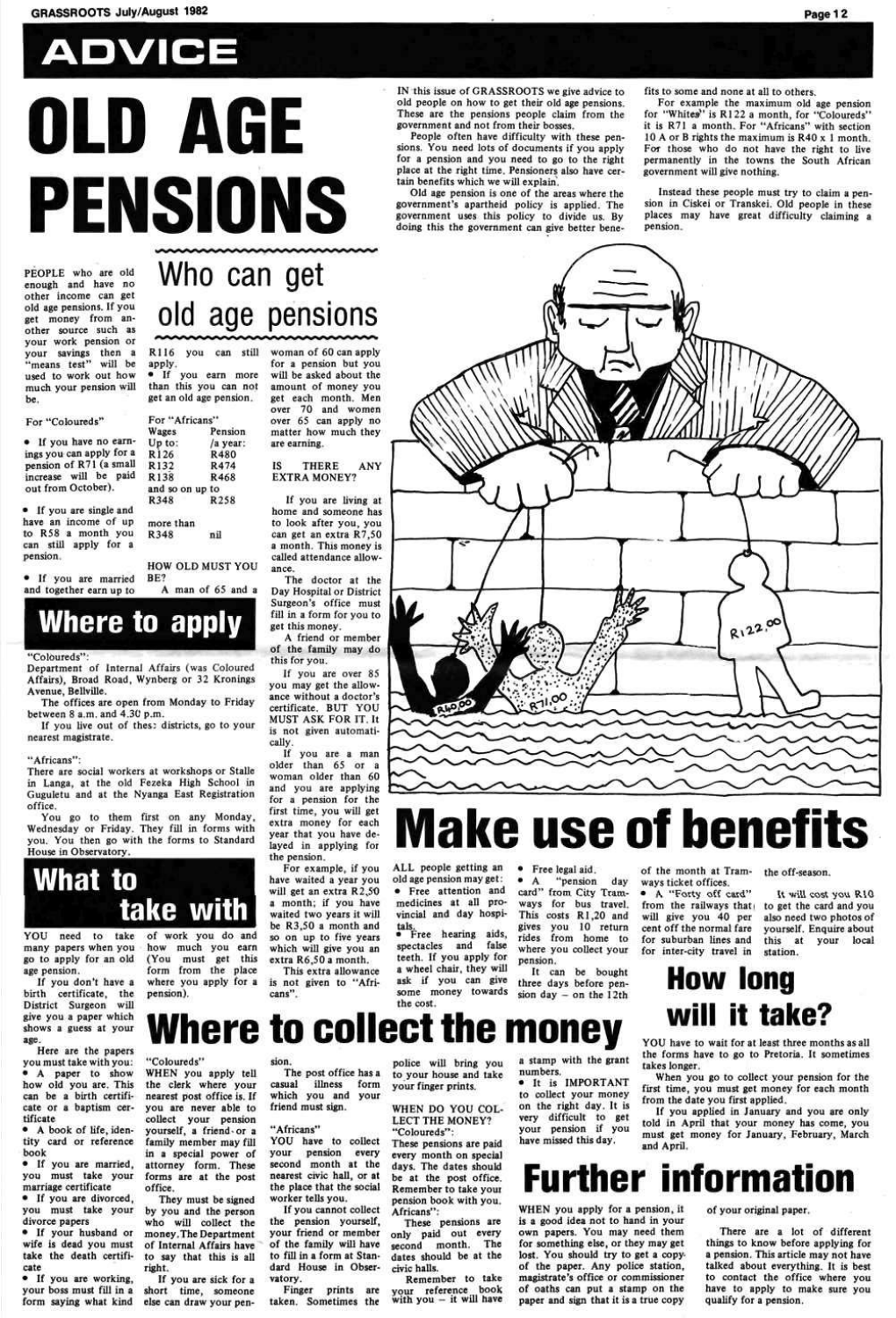# **ADVICE OLD AGE PENSIONS**

PEOPLE who are old enough and have no other income can get old age pensions. If you get money from another source such as your work pension or your savings then a your savings then a means test will be used to work out how<br>much your pension will be.

• If you have no earnings you can apply for a pension of R7I (a small increase will be paid out from October).

• If you are single and have an income of up to RS8 a month you can still apply for a pension.

#### For "Coloureds"

more than  $R348$   $nil$ 

Department of Internal Affairs (was Coloured Affairs). Broad Road. Wynberg or 32 Kronings Avenue, Bellville.

\* If you are married and together earn up to

## Who can get old age pensions

RII6 you can still apply.

There are social workers at workshops or Stalle in Langa, at the old Fezeka High School in Gugulctu and at the Nyanga East Registration office.

• If you earn more than this you can not get an old age pension.

For "Africans'

and so on up to<br>R348 R258

Wages Up to: RI26 R132 R138

R348

Pension /a year: R480 R474 R468

If you don't have a birth certificate, the District Surgeon will give you a paper which shows a guess at your age.

HOW OLD MUST YOU

BE?

A man of 65 and a

## **Where to apply**

#### "Coloureds":

The offices are open from Monday to Friday between 8 a.m. and 4.3C p.m.

If you live out of thes: districts, go to your nearest magistrate.

#### "Africans":

first time, you will get extra money for each year that you have deyear that you have uetayed in ap

You go to them first on any Monday. Wednesday or Friday, They fill in forms with you. You then go with the forms to Standard House in Observatory.

### **What to take with**

YOU need to take of work you do and many papers when you go to apply for an old age pension.

pension).

woman of 60 can apply for a pension but you

will be asked about the amount of money you get each month. Men over 70 and women over 65 can apply no matter how much they are earning.

#### IS THERE ANY EXTRA MONEY?

If you are living at home and someone has to look after you. you can get an extra R7.50 a month. This money is called attendance allowance.

The doctor at the Day Hospital or District Surgeon's office must fill in a form for you to get this money.

> It can be bought three days before pension day  $-$  on the 12th

how much you earn (You must get this For example, if you have waited a year you will get an extra R2.50 a month; if you have waited two years it will be R3.50 a month and so on up to five years which will give you an extra R6.50 a month.

A friend or member of the family may do this for you.

form from the place where you apply for a This extra allowance is not given to "Africans".

If you are over 85 you may get the allowance without a doctor's certificate. BUT YOU MUST ASK FOR IT. It is not given automatically.

If you are a man older than 65 or a woman older than 60 and you are applying for a pension for the

• If you are married, you must take your marriage certificate

• If you are divorced, you must take your divorce papers

IN this issue of GRASSROOTS we give advice to old people on how to get their old age pensions. These are the pensions people claim from the government and not from their bosses.

People often have difficulty with these pensions. You need lots of documents if you apply for a pension and you need to go to the right place at the right time. Pensioners also have certain benefits which we will explain'.

Remember to take your reference book with you - it will have

Old age pension is one of the areas where the government's apartheid policy is applied. The government uses this policy to divide us. By doing this the government can give better benefits to some and none at all to others.

For example Ihe maximum old age pension for "Whites" is R122 a month, for "Coloureds" it is R7I a month. For "Africans" with section 10 A or B rights the maximum is R40 x I month. For those who do not have the right to live permanently in the towns the South African government will give nothing.

Instead these people must try to claim a pension in Ciskci or Transkei. Old people in these places may have great difficulty claiming a pension.



## **Make use of benefits**

ALL people getting an old age pension may get: • Free attention and medicines at all provincial and day hospitals, a Free hearing aids, spectacles and false teeth. If you apply for a wheel chair, they will ask if you can give some money towards the cost.

• Free legal aid.  $^{\bullet}$  A pension day card" from City Tramways for bus travel. This costs RI.20 and gives you 10 return rides from home to where you collect your pension.

#### of the month at Tramways ticket offices.

• A "Forty off card" from the railways that will give you 40 per cent off the normal fare for suburban lines and for inter-city travel in

the off-season.

It will cost you RIO to get the card and you

also need two photos of yourself. Enquire about this at your local station.

Here are the papers you must take with you: \* A paper to show how old you are. This can be a birth certificate or a baptism certificate

• A book of life, identity card or reference book

• If your husband or wife is dead you must take the death certificate

• If you arc working, your boss must fill in a form saying what kind

"Coloureds"

They must be signed by you and the person who will collect the money.The Department of Internal Affairs have to say that this is all

right.

WHEN you apply tell the clerk where your nearest post office is. If you are never able to collect your pension yourself, a friend-or a family member may fill ianny member may run in a special power of attorney form. These forms are at the post<br>office.

If you are sick for a short time, someone else can draw your penfriend must sign.

"Africans"

YOU have to collect your pension every second month at the nearest civic hall, or at the place that the social worker tells you.

#### **Where to collect the money**  police will bring you to your house and take a stamp with Ihe grant numbers.

sion. The post office has a casual illness form which you and your your finger prints.

If you cannot collect the pension yourself, your friend or member of the family will have to fill in a form at Standard House in Observatory.

Finger prints are taken. Sometimes the

WHEN DO YOU COL-LECT THE MONEY? "Coloureds\*\*:

These pensions are paid every month on special days. The dates should be at the post office. Remember to take youi pension book with you. Africans":

These pensions are only paid out every second month. The dates should be at the civic halls.

• It is IMPORTANT to collect your money on the right day. It is very difficult to get your pension if you have missed this day.

## **How long will it take?**

YOU have to wait for at least three months as all the forms have to go to Pretoria. It sometimes takes longer.

When you go to collect your pension for the first time, you must get money for each month from the date you first applied.

If you applied in January and you are only told in April that your money has come, you must get money for January. February. March and April.

## **Further information**

WHEN you apply for a pension, it is a good idea not to hand in your own papers. You may need them for something else, or they may get lost. You should try to get a copyof the paper. Any police station, magistrate's office or commissioner of oaths can put a stamp on the paper and sign that it is a true copy

of your original paper.

There are a lot of different things to know before applying for a pension. This article may not have talked about everything. It is best to contact the office where you have to apply to make sure you qualify for a pension.